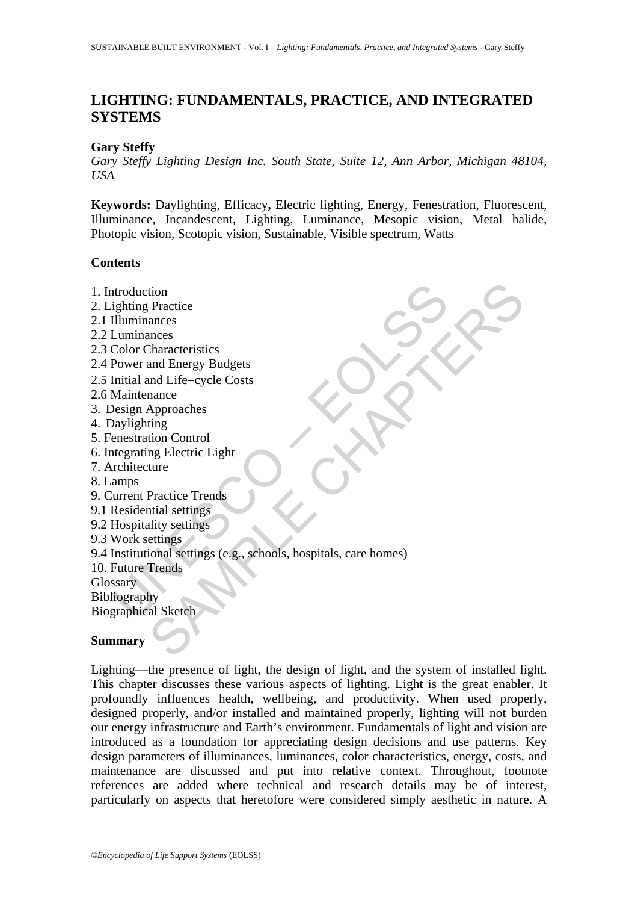# **LIGHTING: FUNDAMENTALS, PRACTICE, AND INTEGRATED SYSTEMS**

# **Gary Steffy**

*Gary Steffy Lighting Design Inc. South State, Suite 12, Ann Arbor, Michigan 48104, USA* 

**Keywords:** Daylighting, Efficacy**,** Electric lighting, Energy, Fenestration, Fluorescent, Illuminance, Incandescent, Lighting, Luminance, Mesopic vision, Metal halide, Photopic vision, Scotopic vision, Sustainable, Visible spectrum, Watts

# **Contents**

throduction<br>
ighting Practice<br>
Illuminances<br>
Luminances<br>
Color Characteristics<br>
Power and Energy Budgets<br>
Initial and Life-cycle Costs<br>
Maintenance<br>
Maintenance<br>
enestation Control<br>
interstation Control<br>
interstation Contr tion<br>
Practice<br>
ances<br>
Characteristics<br>
characteristics<br>
and Energy Budgets<br>
anne<br>
Approaches<br>
ting<br>
Approaches<br>
ting<br>
Practice Trends<br>
Practice Trends<br>
ting<br>
Practice Trends<br>
ting<br>
citings<br>
ional settings<br>
ional settings<br> 1. Introduction 2. Lighting Practice 2.1 Illuminances 2.2 Luminances 2.3 Color Characteristics 2.4 Power and Energy Budgets 2.5 Initial and Life−cycle Costs 2.6 Maintenance 3. Design Approaches 4. Daylighting 5. Fenestration Control 6. Integrating Electric Light 7. Architecture 8. Lamps 9. Current Practice Trends 9.1 Residential settings 9.2 Hospitality settings 9.3 Work settings 9.4 Institutional settings (e.g., schools, hospitals, care homes) 10. Future Trends **Glossary** Bibliography Biographical Sketch

# **Summary**

Lighting—the presence of light, the design of light, and the system of installed light. This chapter discusses these various aspects of lighting. Light is the great enabler. It profoundly influences health, wellbeing, and productivity. When used properly, designed properly, and/or installed and maintained properly, lighting will not burden our energy infrastructure and Earth's environment. Fundamentals of light and vision are introduced as a foundation for appreciating design decisions and use patterns. Key design parameters of illuminances, luminances, color characteristics, energy, costs, and maintenance are discussed and put into relative context. Throughout, footnote references are added where technical and research details may be of interest, particularly on aspects that heretofore were considered simply aesthetic in nature. A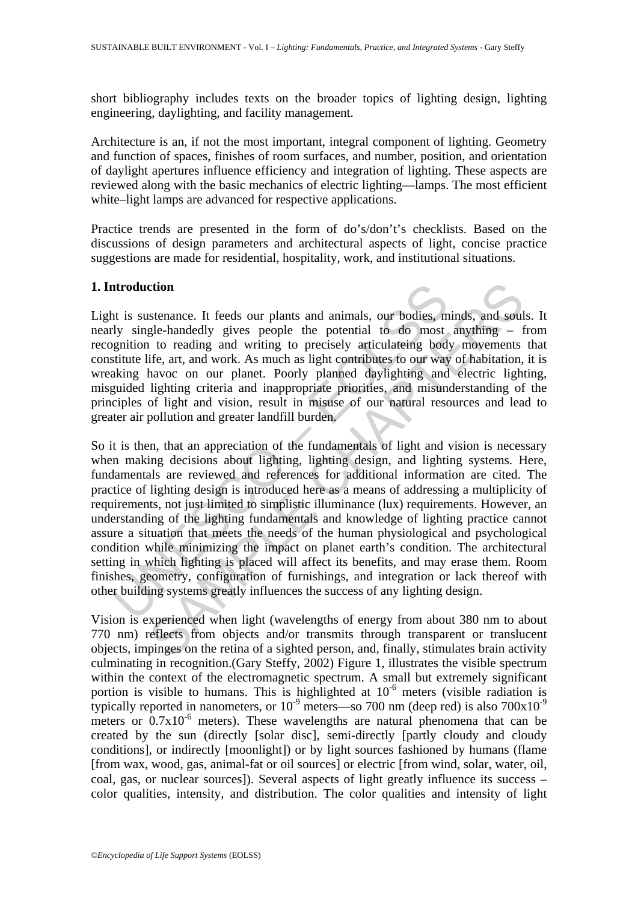short bibliography includes texts on the broader topics of lighting design, lighting engineering, daylighting, and facility management.

Architecture is an, if not the most important, integral component of lighting. Geometry and function of spaces, finishes of room surfaces, and number, position, and orientation of daylight apertures influence efficiency and integration of lighting. These aspects are reviewed along with the basic mechanics of electric lighting—lamps. The most efficient white–light lamps are advanced for respective applications.

Practice trends are presented in the form of do's/don't's checklists. Based on the discussions of design parameters and architectural aspects of light, concise practice suggestions are made for residential, hospitality, work, and institutional situations.

### **1. Introduction**

Light is sustenance. It feeds our plants and animals, our bodies, minds, and souls. It nearly single-handedly gives people the potential to do most anything – from recognition to reading and writing to precisely articulateing body movements that constitute life, art, and work. As much as light contributes to our way of habitation, it is wreaking havoc on our planet. Poorly planned daylighting and electric lighting, misguided lighting criteria and inappropriate priorities, and misunderstanding of the principles of light and vision, result in misuse of our natural resources and lead to greater air pollution and greater landfill burden.

atroduction<br>triangulation. It feeds our plants and animals, our bodies, m<br>y single-handedly gives people the potential to do most<br>guition to reading and writing to precisely articulateing bod;<br>stitute life, art, and work. ction<br>
stenance. It feeds our plants and animals, our bodies, minds, and soully<br>
elge-handedly gives people the potential to do most anything – 1<br>
it to reading and writing to precisely articulateing body movements<br>
iffe, So it is then, that an appreciation of the fundamentals of light and vision is necessary when making decisions about lighting, lighting design, and lighting systems. Here, fundamentals are reviewed and references for additional information are cited. The practice of lighting design is introduced here as a means of addressing a multiplicity of requirements, not just limited to simplistic illuminance (lux) requirements. However, an understanding of the lighting fundamentals and knowledge of lighting practice cannot assure a situation that meets the needs of the human physiological and psychological condition while minimizing the impact on planet earth's condition. The architectural setting in which lighting is placed will affect its benefits, and may erase them. Room finishes, geometry, configuration of furnishings, and integration or lack thereof with other building systems greatly influences the success of any lighting design.

Vision is experienced when light (wavelengths of energy from about 380 nm to about 770 nm) reflects from objects and/or transmits through transparent or translucent objects, impinges on the retina of a sighted person, and, finally, stimulates brain activity culminating in recognition.(Gary Steffy, 2002) Figure 1, illustrates the visible spectrum within the context of the electromagnetic spectrum. A small but extremely significant portion is visible to humans. This is highlighted at  $10^{-6}$  meters (visible radiation is typically reported in nanometers, or  $10^{-9}$  meters—so 700 nm (deep red) is also  $700x10^{-9}$ meters or  $0.7x10^{-6}$  meters). These wavelengths are natural phenomena that can be created by the sun (directly [solar disc], semi-directly [partly cloudy and cloudy conditions], or indirectly [moonlight]) or by light sources fashioned by humans (flame [from wax, wood, gas, animal-fat or oil sources] or electric [from wind, solar, water, oil, coal, gas, or nuclear sources]). Several aspects of light greatly influence its success – color qualities, intensity, and distribution. The color qualities and intensity of light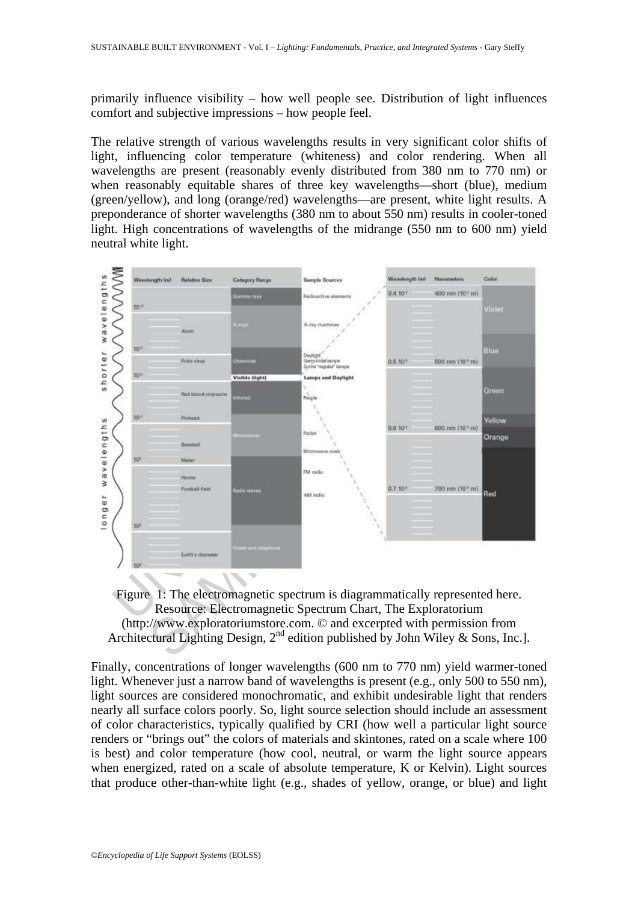primarily influence visibility – how well people see. Distribution of light influences comfort and subjective impressions – how people feel.

The relative strength of various wavelengths results in very significant color shifts of light, influencing color temperature (whiteness) and color rendering. When all wavelengths are present (reasonably evenly distributed from 380 nm to 770 nm) or when reasonably equitable shares of three key wavelengths—short (blue), medium (green/yellow), and long (orange/red) wavelengths—are present, white light results. A preponderance of shorter wavelengths (380 nm to about 550 nm) results in cooler-toned light. High concentrations of wavelengths of the midrange (550 nm to 600 nm) yield neutral white light.





Finally, concentrations of longer wavelengths (600 nm to 770 nm) yield warmer-toned light. Whenever just a narrow band of wavelengths is present (e.g., only 500 to 550 nm), light sources are considered monochromatic, and exhibit undesirable light that renders nearly all surface colors poorly. So, light source selection should include an assessment of color characteristics, typically qualified by CRI (how well a particular light source renders or "brings out" the colors of materials and skintones, rated on a scale where 100 is best) and color temperature (how cool, neutral, or warm the light source appears when energized, rated on a scale of absolute temperature, K or Kelvin). Light sources that produce other-than-white light (e.g., shades of yellow, orange, or blue) and light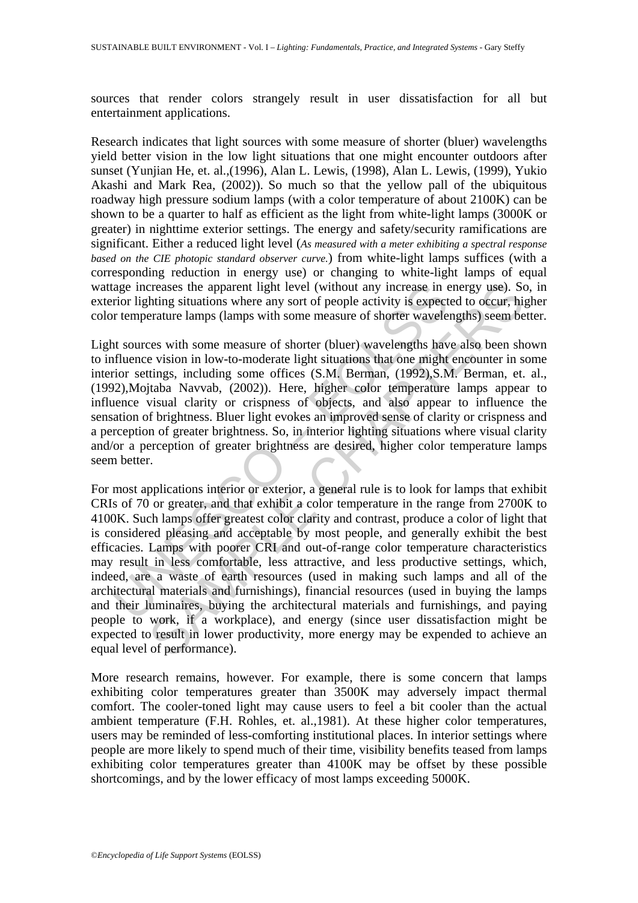sources that render colors strangely result in user dissatisfaction for all but entertainment applications.

Research indicates that light sources with some measure of shorter (bluer) wavelengths yield better vision in the low light situations that one might encounter outdoors after sunset (Yunjian He, et. al.,(1996), Alan L. Lewis, (1998), Alan L. Lewis, (1999), Yukio Akashi and Mark Rea, (2002)). So much so that the yellow pall of the ubiquitous roadway high pressure sodium lamps (with a color temperature of about 2100K) can be shown to be a quarter to half as efficient as the light from white-light lamps (3000K or greater) in nighttime exterior settings. The energy and safety/security ramifications are significant. Either a reduced light level (*As measured with a meter exhibiting a spectral response based on the CIE photopic standard observer curve.*) from white-light lamps suffices (with a corresponding reduction in energy use) or changing to white-light lamps of equal wattage increases the apparent light level (without any increase in energy use). So, in exterior lighting situations where any sort of people activity is expected to occur, higher color temperature lamps (lamps with some measure of shorter wavelengths) seem better.

Light sources with some measure of shorter (bluer) wavelengths have also been shown to influence vision in low-to-moderate light situations that one might encounter in some interior settings, including some offices (S.M. Berman, (1992),S.M. Berman, et. al., (1992),Mojtaba Navvab, (2002)). Here, higher color temperature lamps appear to influence visual clarity or crispness of objects, and also appear to influence the sensation of brightness. Bluer light evokes an improved sense of clarity or crispness and a perception of greater brightness. So, in interior lighting situations where visual clarity and/or a perception of greater brightness are desired, higher color temperature lamps seem better.

lage increases the apparent light level (without any increase in eincrition in the apparent light level (without any increase in eincrition temperature lamps (lamps with some measure of shorter wavelengths have the sources creases the apparent light level (without any increase in energy use). So<br>thing situations where any sort of people activity is expected to occur, his<br>rature lamps (lamps with some measure of shorter wavelengths) seem be<br>v For most applications interior or exterior, a general rule is to look for lamps that exhibit CRIs of 70 or greater, and that exhibit a color temperature in the range from 2700K to 4100K. Such lamps offer greatest color clarity and contrast, produce a color of light that is considered pleasing and acceptable by most people, and generally exhibit the best efficacies. Lamps with poorer CRI and out-of-range color temperature characteristics may result in less comfortable, less attractive, and less productive settings, which, indeed, are a waste of earth resources (used in making such lamps and all of the architectural materials and furnishings), financial resources (used in buying the lamps and their luminaires, buying the architectural materials and furnishings, and paying people to work, if a workplace), and energy (since user dissatisfaction might be expected to result in lower productivity, more energy may be expended to achieve an equal level of performance).

More research remains, however. For example, there is some concern that lamps exhibiting color temperatures greater than 3500K may adversely impact thermal comfort. The cooler-toned light may cause users to feel a bit cooler than the actual ambient temperature (F.H. Rohles, et. al.,1981). At these higher color temperatures, users may be reminded of less-comforting institutional places. In interior settings where people are more likely to spend much of their time, visibility benefits teased from lamps exhibiting color temperatures greater than 4100K may be offset by these possible shortcomings, and by the lower efficacy of most lamps exceeding 5000K.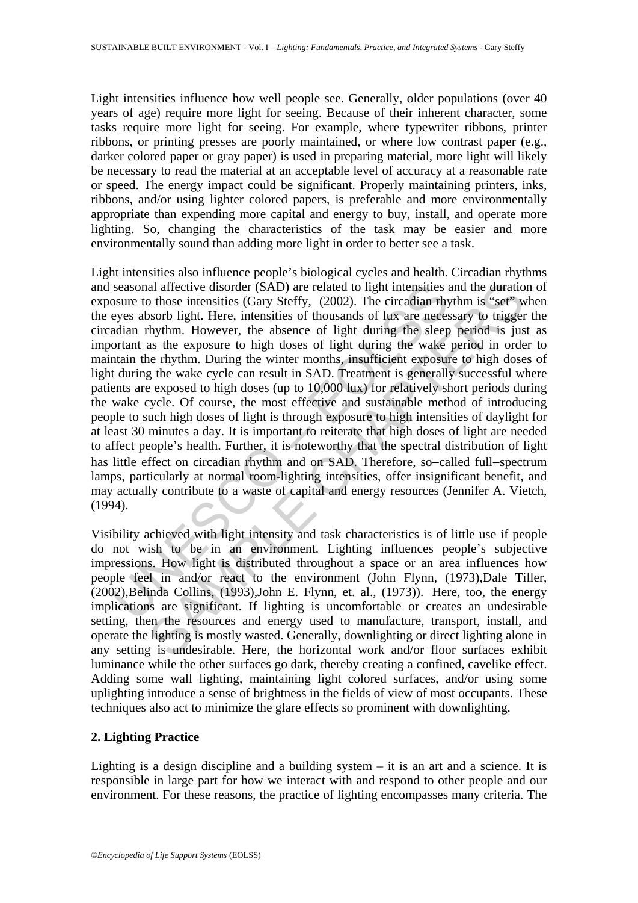Light intensities influence how well people see. Generally, older populations (over 40 years of age) require more light for seeing. Because of their inherent character, some tasks require more light for seeing. For example, where typewriter ribbons, printer ribbons, or printing presses are poorly maintained, or where low contrast paper (e.g., darker colored paper or gray paper) is used in preparing material, more light will likely be necessary to read the material at an acceptable level of accuracy at a reasonable rate or speed. The energy impact could be significant. Properly maintaining printers, inks, ribbons, and/or using lighter colored papers, is preferable and more environmentally appropriate than expending more capital and energy to buy, install, and operate more lighting. So, changing the characteristics of the task may be easier and more environmentally sound than adding more light in order to better see a task.

seasonal affective disorder (SAD) are related to light intensities s<br>seasure to those intensities (Gary Steffy, (2002). The circadian rhy<br>eyes absorb light. Here, intensities of thousands of lux are neces-<br>ordant nryhm. Ho al affective disorder (SAD) are related to light intensities and the duratio<br>obsorb light. Here, intensities (Gary Steffly), (2002). The circadian rhythm is "seft"<br>whythm. However, the absence of light during the sleep per Light intensities also influence people's biological cycles and health. Circadian rhythms and seasonal affective disorder (SAD) are related to light intensities and the duration of exposure to those intensities (Gary Steffy, (2002). The circadian rhythm is "set" when the eyes absorb light. Here, intensities of thousands of lux are necessary to trigger the circadian rhythm. However, the absence of light during the sleep period is just as important as the exposure to high doses of light during the wake period in order to maintain the rhythm. During the winter months, insufficient exposure to high doses of light during the wake cycle can result in SAD. Treatment is generally successful where patients are exposed to high doses (up to 10,000 lux) for relatively short periods during the wake cycle. Of course, the most effective and sustainable method of introducing people to such high doses of light is through exposure to high intensities of daylight for at least 30 minutes a day. It is important to reiterate that high doses of light are needed to affect people's health. Further, it is noteworthy that the spectral distribution of light has little effect on circadian rhythm and on SAD. Therefore, so−called full−spectrum lamps, particularly at normal room-lighting intensities, offer insignificant benefit, and may actually contribute to a waste of capital and energy resources (Jennifer A. Vietch, (1994).

Visibility achieved with light intensity and task characteristics is of little use if people do not wish to be in an environment. Lighting influences people's subjective impressions. How light is distributed throughout a space or an area influences how people feel in and/or react to the environment (John Flynn, (1973),Dale Tiller, (2002),Belinda Collins, (1993),John E. Flynn, et. al., (1973)). Here, too, the energy implications are significant. If lighting is uncomfortable or creates an undesirable setting, then the resources and energy used to manufacture, transport, install, and operate the lighting is mostly wasted. Generally, downlighting or direct lighting alone in any setting is undesirable. Here, the horizontal work and/or floor surfaces exhibit luminance while the other surfaces go dark, thereby creating a confined, cavelike effect. Adding some wall lighting, maintaining light colored surfaces, and/or using some uplighting introduce a sense of brightness in the fields of view of most occupants. These techniques also act to minimize the glare effects so prominent with downlighting.

### **2. Lighting Practice**

Lighting is a design discipline and a building system – it is an art and a science. It is responsible in large part for how we interact with and respond to other people and our environment. For these reasons, the practice of lighting encompasses many criteria. The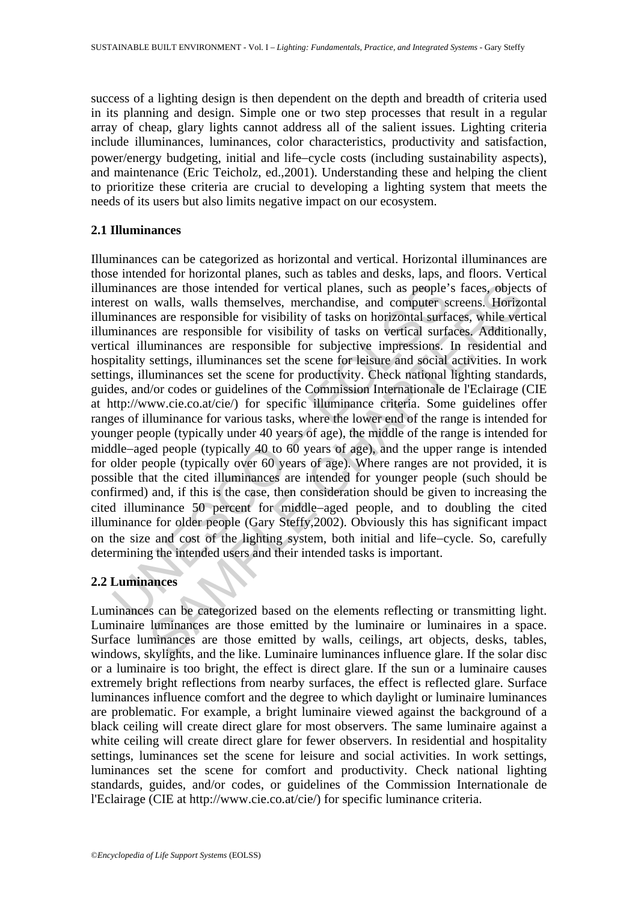success of a lighting design is then dependent on the depth and breadth of criteria used in its planning and design. Simple one or two step processes that result in a regular array of cheap, glary lights cannot address all of the salient issues. Lighting criteria include illuminances, luminances, color characteristics, productivity and satisfaction, power/energy budgeting, initial and life−cycle costs (including sustainability aspects), and maintenance (Eric Teicholz, ed.,2001). Understanding these and helping the client to prioritize these criteria are crucial to developing a lighting system that meets the needs of its users but also limits negative impact on our ecosystem.

## **2.1 Illuminances**

minances are those intended for vertical planes, such as people'<br>rest on walls, walls themselves, merchandise, and computer s<br>minances are responsible for visibility of tasks on horizontal surf<br>ininances are responsible fo is walls, walls then<br>need for vertical planes, such as people's faces, object<br>valls, walls themselves, merchanise, and computer screens. Horizo<br>es are responsible for visibility of tasks on horizontal surfaces, while ver<br>s Illuminances can be categorized as horizontal and vertical. Horizontal illuminances are those intended for horizontal planes, such as tables and desks, laps, and floors. Vertical illuminances are those intended for vertical planes, such as people's faces, objects of interest on walls, walls themselves, merchandise, and computer screens. Horizontal illuminances are responsible for visibility of tasks on horizontal surfaces, while vertical illuminances are responsible for visibility of tasks on vertical surfaces. Additionally, vertical illuminances are responsible for subjective impressions. In residential and hospitality settings, illuminances set the scene for leisure and social activities. In work settings, illuminances set the scene for productivity. Check national lighting standards, guides, and/or codes or guidelines of the Commission Internationale de l'Eclairage (CIE at http://www.cie.co.at/cie/) for specific illuminance criteria. Some guidelines offer ranges of illuminance for various tasks, where the lower end of the range is intended for younger people (typically under 40 years of age), the middle of the range is intended for middle−aged people (typically 40 to 60 years of age), and the upper range is intended for older people (typically over 60 years of age). Where ranges are not provided, it is possible that the cited illuminances are intended for younger people (such should be confirmed) and, if this is the case, then consideration should be given to increasing the cited illuminance 50 percent for middle−aged people, and to doubling the cited illuminance for older people (Gary Steffy,2002). Obviously this has significant impact on the size and cost of the lighting system, both initial and life−cycle. So, carefully determining the intended users and their intended tasks is important.

# **2.2 Luminances**

Luminances can be categorized based on the elements reflecting or transmitting light. Luminaire luminances are those emitted by the luminaire or luminaires in a space. Surface luminances are those emitted by walls, ceilings, art objects, desks, tables, windows, skylights, and the like. Luminaire luminances influence glare. If the solar disc or a luminaire is too bright, the effect is direct glare. If the sun or a luminaire causes extremely bright reflections from nearby surfaces, the effect is reflected glare. Surface luminances influence comfort and the degree to which daylight or luminaire luminances are problematic. For example, a bright luminaire viewed against the background of a black ceiling will create direct glare for most observers. The same luminaire against a white ceiling will create direct glare for fewer observers. In residential and hospitality settings, luminances set the scene for leisure and social activities. In work settings, luminances set the scene for comfort and productivity. Check national lighting standards, guides, and/or codes, or guidelines of the Commission Internationale de l'Eclairage (CIE at http://www.cie.co.at/cie/) for specific luminance criteria.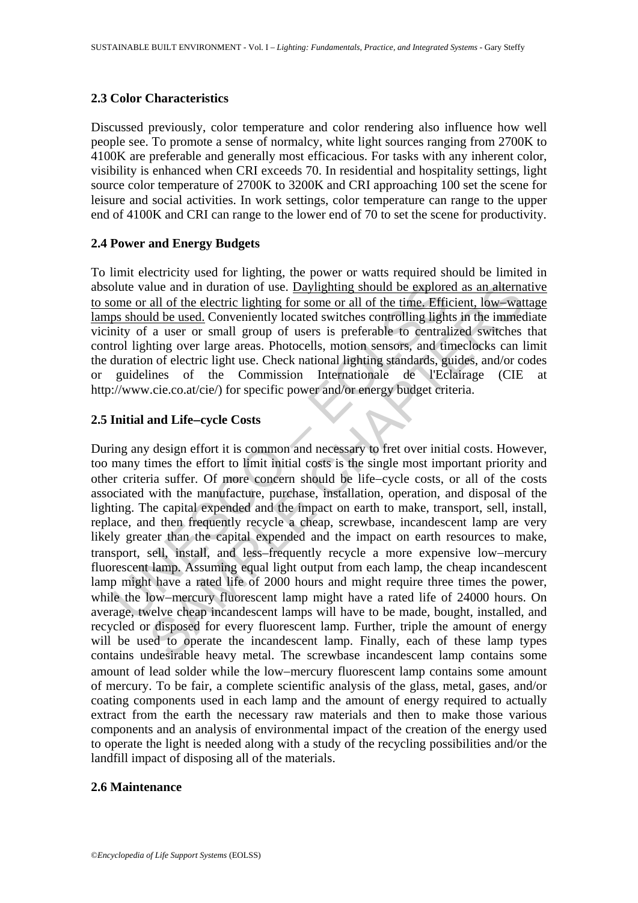### **2.3 Color Characteristics**

Discussed previously, color temperature and color rendering also influence how well people see. To promote a sense of normalcy, white light sources ranging from 2700K to 4100K are preferable and generally most efficacious. For tasks with any inherent color, visibility is enhanced when CRI exceeds 70. In residential and hospitality settings, light source color temperature of 2700K to 3200K and CRI approaching 100 set the scene for leisure and social activities. In work settings, color temperature can range to the upper end of 4100K and CRI can range to the lower end of 70 to set the scene for productivity.

# **2.4 Power and Energy Budgets**

To limit electricity used for lighting, the power or watts required should be limited in absolute value and in duration of use. Daylighting should be explored as an alternative to some or all of the electric lighting for some or all of the time. Efficient, low−wattage lamps should be used. Conveniently located switches controlling lights in the immediate vicinity of a user or small group of users is preferable to centralized switches that control lighting over large areas. Photocells, motion sensors, and timeclocks can limit the duration of electric light use. Check national lighting standards, guides, and/or codes or guidelines of the Commission Internationale de l'Eclairage (CIE http://www.cie.co.at/cie/) for specific power and/or energy budget criteria.

# **2.5 Initial and Life**−**cycle Costs**

blute value and in duration of use. <u>Daylighting should be explore</u><br>ome or all of the electric lighting for some or all of the time. Efficing<br>inty of a user or small group of users is preferable to central<br>intity of a user all of the electric lighting should be explored as an alternal<br>all of the electric lighting for some or all of the time. Efficient, low-ward<br>all of the electric lighting for some or all of the time. Efficient, low-ward<br>a u During any design effort it is common and necessary to fret over initial costs. However, too many times the effort to limit initial costs is the single most important priority and other criteria suffer. Of more concern should be life−cycle costs, or all of the costs associated with the manufacture, purchase, installation, operation, and disposal of the lighting. The capital expended and the impact on earth to make, transport, sell, install, replace, and then frequently recycle a cheap, screwbase, incandescent lamp are very likely greater than the capital expended and the impact on earth resources to make, transport, sell, install, and less–frequently recycle a more expensive low−mercury fluorescent lamp. Assuming equal light output from each lamp, the cheap incandescent lamp might have a rated life of 2000 hours and might require three times the power, while the low−mercury fluorescent lamp might have a rated life of 24000 hours. On average, twelve cheap incandescent lamps will have to be made, bought, installed, and recycled or disposed for every fluorescent lamp. Further, triple the amount of energy will be used to operate the incandescent lamp. Finally, each of these lamp types contains undesirable heavy metal. The screwbase incandescent lamp contains some amount of lead solder while the low−mercury fluorescent lamp contains some amount of mercury. To be fair, a complete scientific analysis of the glass, metal, gases, and/or coating components used in each lamp and the amount of energy required to actually extract from the earth the necessary raw materials and then to make those various components and an analysis of environmental impact of the creation of the energy used to operate the light is needed along with a study of the recycling possibilities and/or the landfill impact of disposing all of the materials.

### **2.6 Maintenance**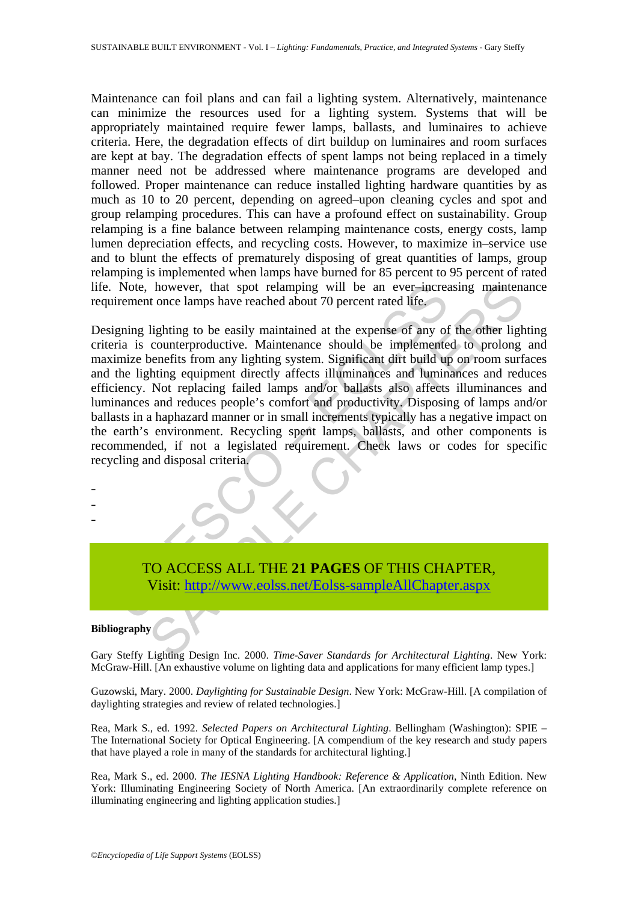Maintenance can foil plans and can fail a lighting system. Alternatively, maintenance can minimize the resources used for a lighting system. Systems that will be appropriately maintained require fewer lamps, ballasts, and luminaires to achieve criteria. Here, the degradation effects of dirt buildup on luminaires and room surfaces are kept at bay. The degradation effects of spent lamps not being replaced in a timely manner need not be addressed where maintenance programs are developed and followed. Proper maintenance can reduce installed lighting hardware quantities by as much as 10 to 20 percent, depending on agreed–upon cleaning cycles and spot and group relamping procedures. This can have a profound effect on sustainability. Group relamping is a fine balance between relamping maintenance costs, energy costs, lamp lumen depreciation effects, and recycling costs. However, to maximize in–service use and to blunt the effects of prematurely disposing of great quantities of lamps, group relamping is implemented when lamps have burned for 85 percent to 95 percent of rated life. Note, however, that spot relamping will be an ever–increasing maintenance requirement once lamps have reached about 70 percent rated life.

Note, however, that spot relamping will be an ever-increar-<br>
irement once lamps have reached about 70 percent rated life,<br>
igning lighting to be easily maintained at the expense of any of<br>
ria is counterproductive. Mainten however, that spot relamping will be an ever-increasing maintenature of the contemposition of the contemposition is lighting to be easily maintained at the expense of any of the other lighting eigenterproductive. Maintenan Designing lighting to be easily maintained at the expense of any of the other lighting criteria is counterproductive. Maintenance should be implemented to prolong and maximize benefits from any lighting system. Significant dirt build up on room surfaces and the lighting equipment directly affects illuminances and luminances and reduces efficiency. Not replacing failed lamps and/or ballasts also affects illuminances and luminances and reduces people's comfort and productivity. Disposing of lamps and/or ballasts in a haphazard manner or in small increments typically has a negative impact on the earth's environment. Recycling spent lamps, ballasts, and other components is recommended, if not a legislated requirement. Check laws or codes for specific recycling and disposal criteria.

TO ACCESS ALL THE **21 PAGES** OF THIS CHAPTER, Visit: http://www.eolss.net/Eolss-sampleAllChapter.aspx

#### **Bibliography**

- - -

Gary Steffy Lighting Design Inc. 2000. *Time-Saver Standards for Architectural Lighting*. New York: McGraw-Hill. [An exhaustive volume on lighting data and applications for many efficient lamp types.]

Guzowski, Mary. 2000. *Daylighting for Sustainable Design*. New York: McGraw-Hill. [A compilation of daylighting strategies and review of related technologies.]

Rea, Mark S., ed. 1992. *Selected Papers on Architectural Lighting*. Bellingham (Washington): SPIE – The International Society for Optical Engineering. [A compendium of the key research and study papers that have played a role in many of the standards for architectural lighting.]

Rea, Mark S., ed. 2000. *The IESNA Lighting Handbook: Reference & Application*, Ninth Edition. New York: Illuminating Engineering Society of North America. [An extraordinarily complete reference on illuminating engineering and lighting application studies.]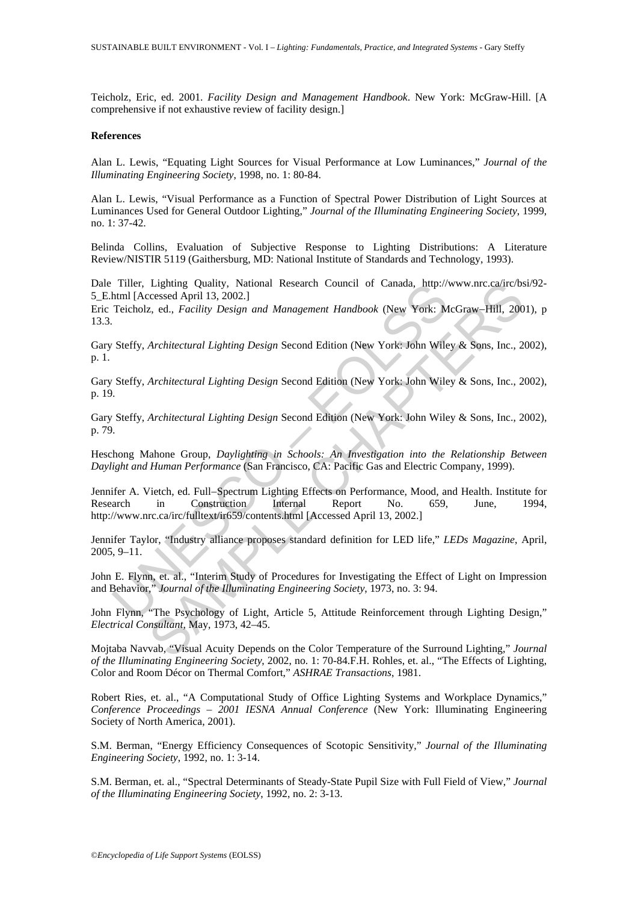Teicholz, Eric, ed. 2001. *Facility Design and Management Handbook*. New York: McGraw-Hill. [A comprehensive if not exhaustive review of facility design.]

#### **References**

Alan L. Lewis, "Equating Light Sources for Visual Performance at Low Luminances," *Journal of the Illuminating Engineering Society*, 1998, no. 1: 80-84.

Alan L. Lewis, "Visual Performance as a Function of Spectral Power Distribution of Light Sources at Luminances Used for General Outdoor Lighting," *Journal of the Illuminating Engineering Society*, 1999, no. 1: 37-42.

Belinda Collins, Evaluation of Subjective Response to Lighting Distributions: A Literature Review/NISTIR 5119 (Gaithersburg, MD: National Institute of Standards and Technology, 1993).

Dale Tiller, Lighting Quality, National Research Council of Canada, http://www.nrc.ca/irc/bsi/92- 5\_E.html [Accessed April 13, 2002.]

Eric Teicholz, ed., *Facility Design and Management Handbook* (New York: McGraw−Hill, 2001), p 13.3.

Gary Steffy, *Architectural Lighting Design* Second Edition (New York: John Wiley & Sons, Inc., 2002), p. 1.

Gary Steffy, *Architectural Lighting Design* Second Edition (New York: John Wiley & Sons, Inc., 2002), p. 19.

Gary Steffy, *Architectural Lighting Design* Second Edition (New York: John Wiley & Sons, Inc., 2002), p. 79.

Heschong Mahone Group, *Daylighting in Schools: An Investigation into the Relationship Between Daylight and Human Performance* (San Francisco, CA: Pacific Gas and Electric Company, 1999).

Titler, Lighting Quality, National Research Council of Canada, http://<br>
Ithml [Accessed April 13, 2002.]<br>
Teicholz, ed., *Facility Design and Management Handbook* (New York: M<br>
Steffy, *Architectural Lighting Design* Secon Lighting Quality, National Research Council of Canada, http://www.nrc.ca/irc/bsicased April 13, 2002.]<br>
2, ed., Facility Design and Management Handbook (New York: McGraw-Hill, 200<br>
2, ed., Facility Design and Management Ha Jennifer A. Vietch, ed. Full−Spectrum Lighting Effects on Performance, Mood, and Health. Institute for Research in Construction Internal Report No. 659, June, 1994, http://www.nrc.ca/irc/fulltext/ir659/contents.html [Accessed April 13, 2002.]

Jennifer Taylor, "Industry alliance proposes standard definition for LED life," *LEDs Magazine*, April, 2005, 9–11.

John E. Flynn, et. al., "Interim Study of Procedures for Investigating the Effect of Light on Impression and Behavior," *Journal of the Illuminating Engineering Society*, 1973, no. 3: 94.

John Flynn, "The Psychology of Light, Article 5, Attitude Reinforcement through Lighting Design," *Electrical Consultant*, May, 1973, 42–45.

Mojtaba Navvab, "Visual Acuity Depends on the Color Temperature of the Surround Lighting," *Journal of the Illuminating Engineering Society*, 2002, no. 1: 70-84.F.H. Rohles, et. al., "The Effects of Lighting, Color and Room Décor on Thermal Comfort," *ASHRAE Transactions*, 1981.

Robert Ries, et. al., "A Computational Study of Office Lighting Systems and Workplace Dynamics," *Conference Proceedings – 2001 IESNA Annual Conference* (New York: Illuminating Engineering Society of North America, 2001).

S.M. Berman, "Energy Efficiency Consequences of Scotopic Sensitivity," *Journal of the Illuminating Engineering Society*, 1992, no. 1: 3-14.

S.M. Berman, et. al., "Spectral Determinants of Steady-State Pupil Size with Full Field of View," *Journal of the Illuminating Engineering Society*, 1992, no. 2: 3-13.